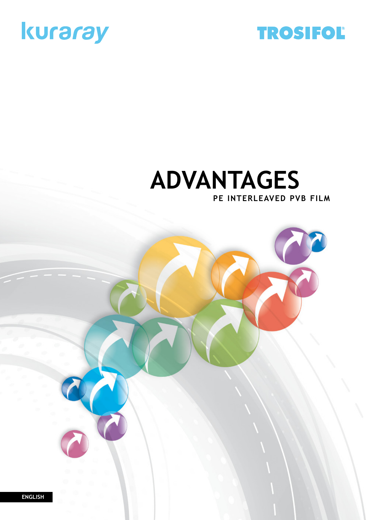



## **PE interleaved PVB FILM Advantages**

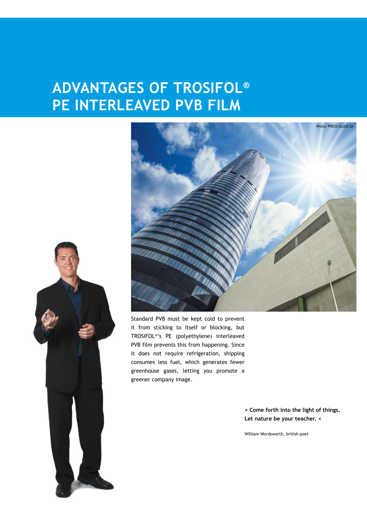## **advantages of TROSIFOL® PE INTERLEAVED PVB FILM**





Standard PVB must be kept cold to prevent it from sticking to itself or blocking, but TROSIFOL®'s PE (polyethylene) interleaved PVB film prevents this from happening. Since it does not require refrigeration, shipping consumes less fuel, which generates fewer greenhouse gases, letting you promote a greener company image.

> **> Come forth into the light of things. Let nature be your teacher. <**

William Wordsworth, british poet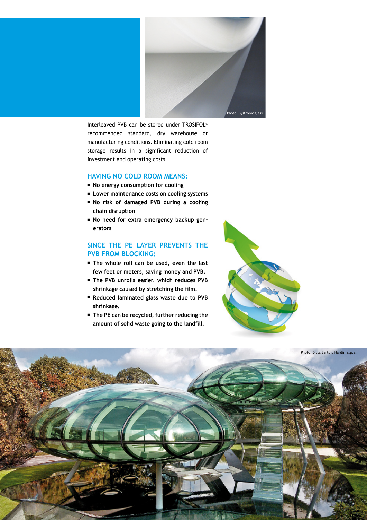

Interleaved PVB can be stored under TROSIFOL® recommended standard, dry warehouse or manufacturing conditions. Eliminating cold room storage results in a significant reduction of investment and operating costs.

#### **Having no cold room means:**

- **No energy consumption for cooling**
- Lower maintenance costs on cooling systems
- <sup>n</sup> **No risk of damaged PVB during a cooling chain disruption**
- **No need for extra emergency backup generators**

### **Since the PE layer prevents the PVB from blocking:**

- <sup>n</sup> **The whole roll can be used, even the last few feet or meters, saving money and PVB.**
- <sup>n</sup> **The PVB unrolls easier, which reduces PVB shrinkage caused by stretching the film.**
- <sup>n</sup> **Reduced laminated glass waste due to PVB shrinkage.**
- The PE can be recycled, further reducing the **amount of solid waste going to the landfill.**